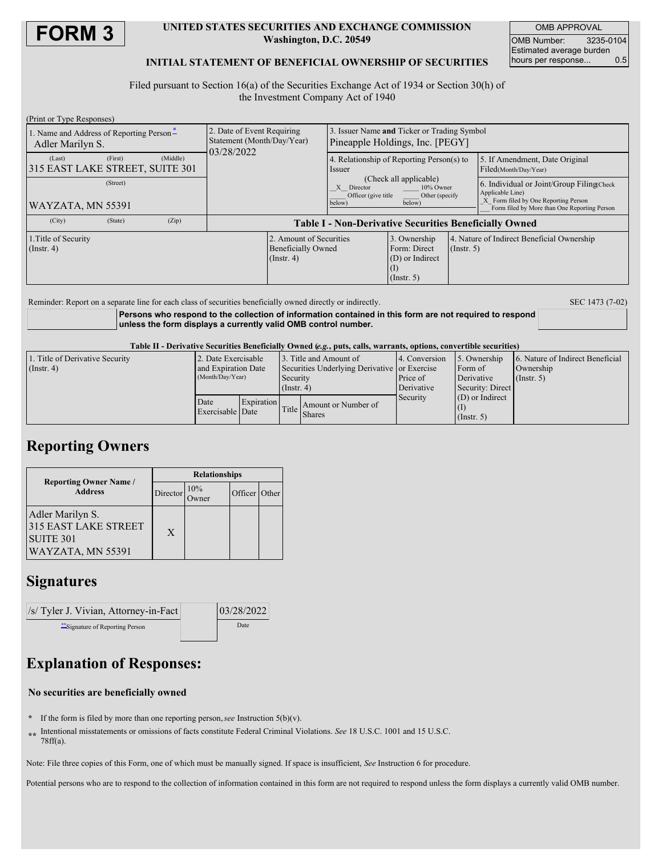

### **UNITED STATES SECURITIES AND EXCHANGE COMMISSION Washington, D.C. 20549**

OMB APPROVAL OMB Number: 3235-0104 Estimated average burden hours per response... 0.5

### **INITIAL STATEMENT OF BENEFICIAL OWNERSHIP OF SECURITIES**

Filed pursuant to Section 16(a) of the Securities Exchange Act of 1934 or Section 30(h) of the Investment Company Act of 1940

| (Print or Type Responses)                                    |         |          |                                                                        |                                                                       |                                                                                                                 |                                                                     |             |                                                                                                                                                       |  |
|--------------------------------------------------------------|---------|----------|------------------------------------------------------------------------|-----------------------------------------------------------------------|-----------------------------------------------------------------------------------------------------------------|---------------------------------------------------------------------|-------------|-------------------------------------------------------------------------------------------------------------------------------------------------------|--|
| 1. Name and Address of Reporting Person-<br>Adler Marilyn S. |         |          | 2. Date of Event Requiring<br>Statement (Month/Day/Year)<br>03/28/2022 |                                                                       | 3. Issuer Name and Ticker or Trading Symbol<br>Pineapple Holdings, Inc. [PEGY]                                  |                                                                     |             |                                                                                                                                                       |  |
| (Last)<br>315 EAST LAKE STREET, SUITE 301                    | (First) | (Middle) |                                                                        |                                                                       | 4. Relationship of Reporting Person(s) to<br><i>ssuer</i>                                                       |                                                                     |             | 5. If Amendment, Date Original<br>Filed(Month/Day/Year)                                                                                               |  |
| (Street)<br> WAYZATA, MN 55391                               |         |          |                                                                        |                                                                       | (Check all applicable)<br>10% Owner<br>X Director<br>Officer (give title)<br>Other (specify<br>below)<br>below) |                                                                     |             | 6. Individual or Joint/Group Filing(Check<br>Applicable Line)<br>X Form filed by One Reporting Person<br>Form filed by More than One Reporting Person |  |
| (City)                                                       | (State) | (Zip)    | <b>Table I - Non-Derivative Securities Beneficially Owned</b>          |                                                                       |                                                                                                                 |                                                                     |             |                                                                                                                                                       |  |
| 1. Title of Security<br>$($ Instr. 4 $)$                     |         |          |                                                                        | 2. Amount of Securities<br><b>Beneficially Owned</b><br>$($ Instr. 4) |                                                                                                                 | 3. Ownership<br>Form: Direct<br>(D) or Indirect<br>$($ Instr. 5 $)$ | (Insert. 5) | 4. Nature of Indirect Beneficial Ownership                                                                                                            |  |
|                                                              |         |          |                                                                        |                                                                       |                                                                                                                 |                                                                     |             |                                                                                                                                                       |  |

Reminder: Report on a separate line for each class of securities beneficially owned directly or indirectly. SEC 1473 (7-02)

**Persons who respond to the collection of information contained in this form are not required to respond unless the form displays a currently valid OMB control number.**

Table II - Derivative Securities Beneficially Owned (e.g., puts, calls, warrants, options, convertible securities)

| 1. Title of Derivative Security<br>$($ Instr. 4 $)$ | 2. Date Exercisable<br>and Expiration Date<br>(Month/Day/Year) |            | 13. Title and Amount of<br>Securities Underlying Derivative or Exercise<br>Security<br>$($ Instr. 4 $)$ |                                     | 4. Conversion<br>Price of<br>Derivative | 5. Ownership<br>Form of<br>Derivative<br>Security: Direct | 6. Nature of Indirect Beneficial<br>Ownership<br>(Insert, 5) |
|-----------------------------------------------------|----------------------------------------------------------------|------------|---------------------------------------------------------------------------------------------------------|-------------------------------------|-----------------------------------------|-----------------------------------------------------------|--------------------------------------------------------------|
|                                                     | Date<br>Exercisable Date                                       | Expiration |                                                                                                         | Amount or Number of<br>Title Shares | Security                                | $(D)$ or Indirect<br>$($ Instr. 5 $)$                     |                                                              |

### **Reporting Owners**

|                                                                                          | <b>Relationships</b> |     |               |  |  |  |
|------------------------------------------------------------------------------------------|----------------------|-----|---------------|--|--|--|
| <b>Reporting Owner Name</b> /<br><b>Address</b>                                          | Director             | 10% | Officer Other |  |  |  |
| Adler Marilyn S.<br><b>315 EAST LAKE STREET</b><br><b>SUITE 301</b><br>WAYZATA, MN 55391 | X                    |     |               |  |  |  |

## **Signatures**



# **Explanation of Responses:**

#### **No securities are beneficially owned**

**\*** If the form is filed by more than one reporting person,*see* Instruction 5(b)(v).

**\*\*** Intentional misstatements or omissions of facts constitute Federal Criminal Violations. *See* 18 U.S.C. 1001 and 15 U.S.C. 78ff(a).

Note: File three copies of this Form, one of which must be manually signed. If space is insufficient, *See* Instruction 6 for procedure.

Potential persons who are to respond to the collection of information contained in this form are not required to respond unless the form displays a currently valid OMB number.